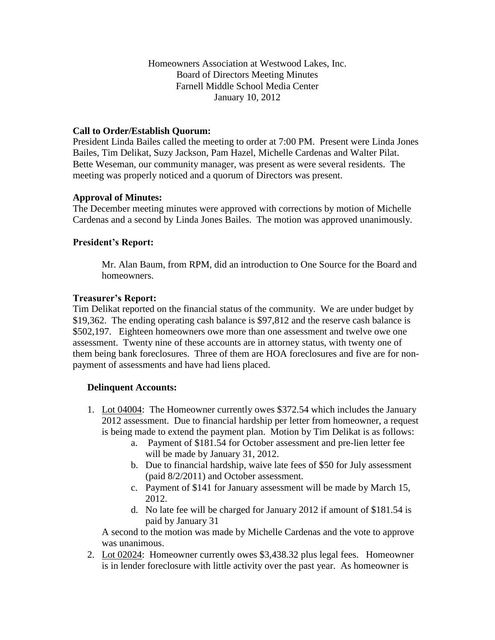#### Homeowners Association at Westwood Lakes, Inc. Board of Directors Meeting Minutes Farnell Middle School Media Center January 10, 2012

### **Call to Order/Establish Quorum:**

President Linda Bailes called the meeting to order at 7:00 PM. Present were Linda Jones Bailes, Tim Delikat, Suzy Jackson, Pam Hazel, Michelle Cardenas and Walter Pilat. Bette Weseman, our community manager, was present as were several residents. The meeting was properly noticed and a quorum of Directors was present.

#### **Approval of Minutes:**

The December meeting minutes were approved with corrections by motion of Michelle Cardenas and a second by Linda Jones Bailes. The motion was approved unanimously.

### **President's Report:**

Mr. Alan Baum, from RPM, did an introduction to One Source for the Board and homeowners.

#### **Treasurer's Report:**

Tim Delikat reported on the financial status of the community. We are under budget by \$19,362. The ending operating cash balance is \$97,812 and the reserve cash balance is \$502,197. Eighteen homeowners owe more than one assessment and twelve owe one assessment. Twenty nine of these accounts are in attorney status, with twenty one of them being bank foreclosures. Three of them are HOA foreclosures and five are for nonpayment of assessments and have had liens placed.

#### **Delinquent Accounts:**

- 1. Lot 04004: The Homeowner currently owes \$372.54 which includes the January 2012 assessment. Due to financial hardship per letter from homeowner, a request is being made to extend the payment plan. Motion by Tim Delikat is as follows:
	- a. Payment of \$181.54 for October assessment and pre-lien letter fee will be made by January 31, 2012.
	- b. Due to financial hardship, waive late fees of \$50 for July assessment (paid 8/2/2011) and October assessment.
	- c. Payment of \$141 for January assessment will be made by March 15, 2012.
	- d. No late fee will be charged for January 2012 if amount of \$181.54 is paid by January 31

A second to the motion was made by Michelle Cardenas and the vote to approve was unanimous.

2. Lot 02024: Homeowner currently owes \$3,438.32 plus legal fees. Homeowner is in lender foreclosure with little activity over the past year. As homeowner is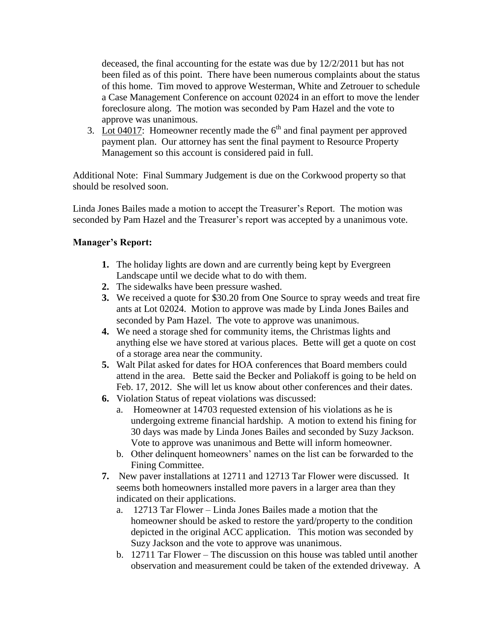deceased, the final accounting for the estate was due by 12/2/2011 but has not been filed as of this point. There have been numerous complaints about the status of this home. Tim moved to approve Westerman, White and Zetrouer to schedule a Case Management Conference on account 02024 in an effort to move the lender foreclosure along. The motion was seconded by Pam Hazel and the vote to approve was unanimous.

3. Lot 04017: Homeowner recently made the  $6<sup>th</sup>$  and final payment per approved payment plan. Our attorney has sent the final payment to Resource Property Management so this account is considered paid in full.

Additional Note: Final Summary Judgement is due on the Corkwood property so that should be resolved soon.

Linda Jones Bailes made a motion to accept the Treasurer's Report. The motion was seconded by Pam Hazel and the Treasurer's report was accepted by a unanimous vote.

# **Manager's Report:**

- **1.** The holiday lights are down and are currently being kept by Evergreen Landscape until we decide what to do with them.
- **2.** The sidewalks have been pressure washed.
- **3.** We received a quote for \$30.20 from One Source to spray weeds and treat fire ants at Lot 02024. Motion to approve was made by Linda Jones Bailes and seconded by Pam Hazel. The vote to approve was unanimous.
- **4.** We need a storage shed for community items, the Christmas lights and anything else we have stored at various places. Bette will get a quote on cost of a storage area near the community.
- **5.** Walt Pilat asked for dates for HOA conferences that Board members could attend in the area. Bette said the Becker and Poliakoff is going to be held on Feb. 17, 2012. She will let us know about other conferences and their dates.
- **6.** Violation Status of repeat violations was discussed:
	- a. Homeowner at 14703 requested extension of his violations as he is undergoing extreme financial hardship. A motion to extend his fining for 30 days was made by Linda Jones Bailes and seconded by Suzy Jackson. Vote to approve was unanimous and Bette will inform homeowner.
	- b. Other delinquent homeowners' names on the list can be forwarded to the Fining Committee.
- **7.** New paver installations at 12711 and 12713 Tar Flower were discussed. It seems both homeowners installed more pavers in a larger area than they indicated on their applications.
	- a. 12713 Tar Flower Linda Jones Bailes made a motion that the homeowner should be asked to restore the yard/property to the condition depicted in the original ACC application. This motion was seconded by Suzy Jackson and the vote to approve was unanimous.
	- b. 12711 Tar Flower The discussion on this house was tabled until another observation and measurement could be taken of the extended driveway. A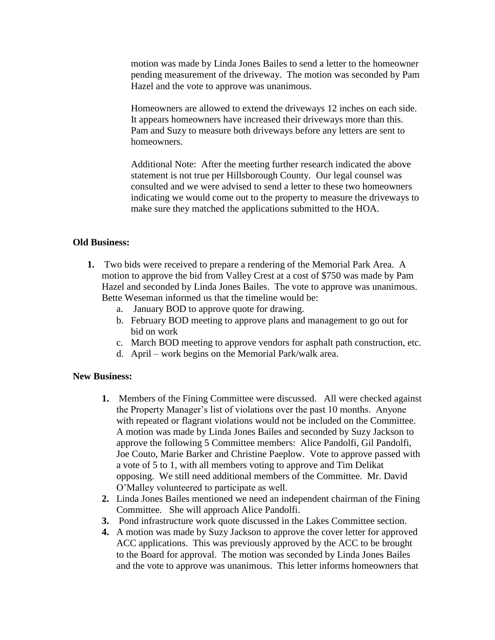motion was made by Linda Jones Bailes to send a letter to the homeowner pending measurement of the driveway. The motion was seconded by Pam Hazel and the vote to approve was unanimous.

Homeowners are allowed to extend the driveways 12 inches on each side. It appears homeowners have increased their driveways more than this. Pam and Suzy to measure both driveways before any letters are sent to homeowners.

Additional Note: After the meeting further research indicated the above statement is not true per Hillsborough County. Our legal counsel was consulted and we were advised to send a letter to these two homeowners indicating we would come out to the property to measure the driveways to make sure they matched the applications submitted to the HOA.

#### **Old Business:**

- **1.** Two bids were received to prepare a rendering of the Memorial Park Area. A motion to approve the bid from Valley Crest at a cost of \$750 was made by Pam Hazel and seconded by Linda Jones Bailes. The vote to approve was unanimous. Bette Weseman informed us that the timeline would be:
	- a. January BOD to approve quote for drawing.
	- b. February BOD meeting to approve plans and management to go out for bid on work
	- c. March BOD meeting to approve vendors for asphalt path construction, etc.
	- d. April work begins on the Memorial Park/walk area.

#### **New Business:**

- **1.** Members of the Fining Committee were discussed. All were checked against the Property Manager's list of violations over the past 10 months. Anyone with repeated or flagrant violations would not be included on the Committee. A motion was made by Linda Jones Bailes and seconded by Suzy Jackson to approve the following 5 Committee members: Alice Pandolfi, Gil Pandolfi, Joe Couto, Marie Barker and Christine Paeplow. Vote to approve passed with a vote of 5 to 1, with all members voting to approve and Tim Delikat opposing. We still need additional members of the Committee. Mr. David O'Malley volunteered to participate as well.
- **2.** Linda Jones Bailes mentioned we need an independent chairman of the Fining Committee. She will approach Alice Pandolfi.
- **3.** Pond infrastructure work quote discussed in the Lakes Committee section.
- **4.** A motion was made by Suzy Jackson to approve the cover letter for approved ACC applications. This was previously approved by the ACC to be brought to the Board for approval. The motion was seconded by Linda Jones Bailes and the vote to approve was unanimous. This letter informs homeowners that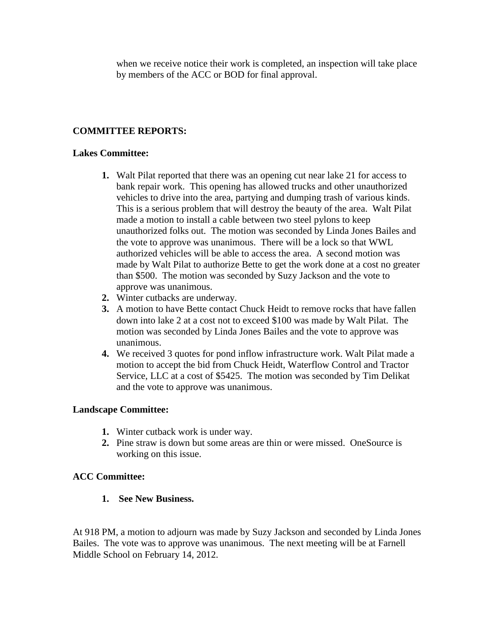when we receive notice their work is completed, an inspection will take place by members of the ACC or BOD for final approval.

# **COMMITTEE REPORTS:**

#### **Lakes Committee:**

- **1.** Walt Pilat reported that there was an opening cut near lake 21 for access to bank repair work. This opening has allowed trucks and other unauthorized vehicles to drive into the area, partying and dumping trash of various kinds. This is a serious problem that will destroy the beauty of the area. Walt Pilat made a motion to install a cable between two steel pylons to keep unauthorized folks out. The motion was seconded by Linda Jones Bailes and the vote to approve was unanimous. There will be a lock so that WWL authorized vehicles will be able to access the area. A second motion was made by Walt Pilat to authorize Bette to get the work done at a cost no greater than \$500. The motion was seconded by Suzy Jackson and the vote to approve was unanimous.
- **2.** Winter cutbacks are underway.
- **3.** A motion to have Bette contact Chuck Heidt to remove rocks that have fallen down into lake 2 at a cost not to exceed \$100 was made by Walt Pilat. The motion was seconded by Linda Jones Bailes and the vote to approve was unanimous.
- **4.** We received 3 quotes for pond inflow infrastructure work. Walt Pilat made a motion to accept the bid from Chuck Heidt, Waterflow Control and Tractor Service, LLC at a cost of \$5425. The motion was seconded by Tim Delikat and the vote to approve was unanimous.

## **Landscape Committee:**

- **1.** Winter cutback work is under way.
- **2.** Pine straw is down but some areas are thin or were missed. OneSource is working on this issue.

#### **ACC Committee:**

**1. See New Business.**

At 918 PM, a motion to adjourn was made by Suzy Jackson and seconded by Linda Jones Bailes. The vote was to approve was unanimous. The next meeting will be at Farnell Middle School on February 14, 2012.